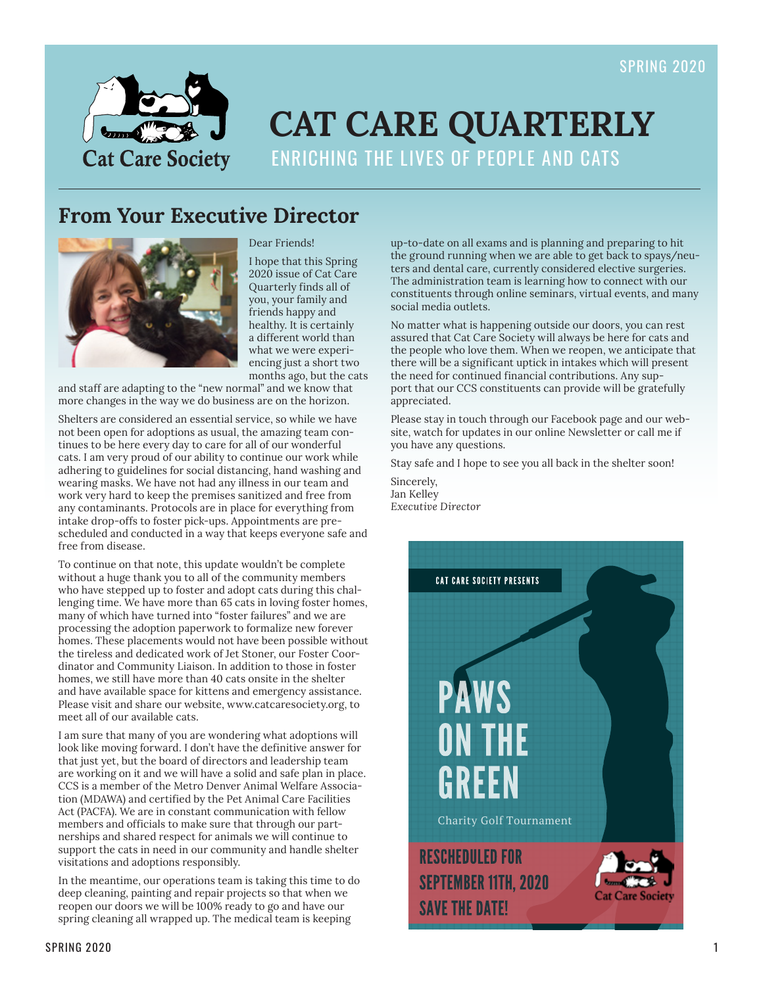

## **[CAT CARE QUARTERLY](CatCareSociety.org)**

ENRICHING THE LIVES OF PEOPLE AND CATS

## **From Your Executive Director**



Dear Friends!

I hope that this Spring 2020 issue of Cat Care Quarterly finds all of you, your family and friends happy and healthy. It is certainly a different world than what we were experiencing just a short two months ago, but the cats

and staff are adapting to the "new normal" and we know that more changes in the way we do business are on the horizon.

Shelters are considered an essential service, so while we have not been open for adoptions as usual, the amazing team continues to be here every day to care for all of our wonderful cats. I am very proud of our ability to continue our work while adhering to guidelines for social distancing, hand washing and wearing masks. We have not had any illness in our team and work very hard to keep the premises sanitized and free from any contaminants. Protocols are in place for everything from intake drop-offs to foster pick-ups. Appointments are prescheduled and conducted in a way that keeps everyone safe and free from disease.

To continue on that note, this update wouldn't be complete without a huge thank you to all of the community members who have stepped up to foster and adopt cats during this challenging time. We have more than 65 cats in loving foster homes, many of which have turned into "foster failures" and we are processing the adoption paperwork to formalize new forever homes. These placements would not have been possible without the tireless and dedicated work of Jet Stoner, our Foster Coordinator and Community Liaison. In addition to those in foster homes, we still have more than 40 cats onsite in the shelter and have available space for kittens and emergency assistance. Please visit and share our website, [www.catcaresociety.org](http://www.catcaresociety.org), to meet all of our available cats.

I am sure that many of you are wondering what adoptions will look like moving forward. I don't have the definitive answer for that just yet, but the board of directors and leadership team are working on it and we will have a solid and safe plan in place. CCS is a member of the Metro Denver Animal Welfare Association (MDAWA) and certified by the Pet Animal Care Facilities Act (PACFA). We are in constant communication with fellow members and officials to make sure that through our partnerships and shared respect for animals we will continue to support the cats in need in our community and handle shelter visitations and adoptions responsibly.

In the meantime, our operations team is taking this time to do deep cleaning, painting and repair projects so that when we reopen our doors we will be 100% ready to go and have our spring cleaning all wrapped up. The medical team is keeping

up-to-date on all exams and is planning and preparing to hit the ground running when we are able to get back to spays/neuters and dental care, currently considered elective surgeries. The administration team is learning how to connect with our constituents through online seminars, virtual events, and many social media outlets.

No matter what is happening outside our doors, you can rest assured that Cat Care Society will always be here for cats and the people who love them. When we reopen, we anticipate that there will be a significant uptick in intakes which will present the need for continued financial contributions. Any support that our CCS constituents can provide will be gratefully appreciated.

Please stay in touch through our Facebook page and our website, watch for updates in our online Newsletter or call me if you have any questions.

Stay safe and I hope to see you all back in the shelter soon!

Sincerely, Jan Kelley *Executive Director*

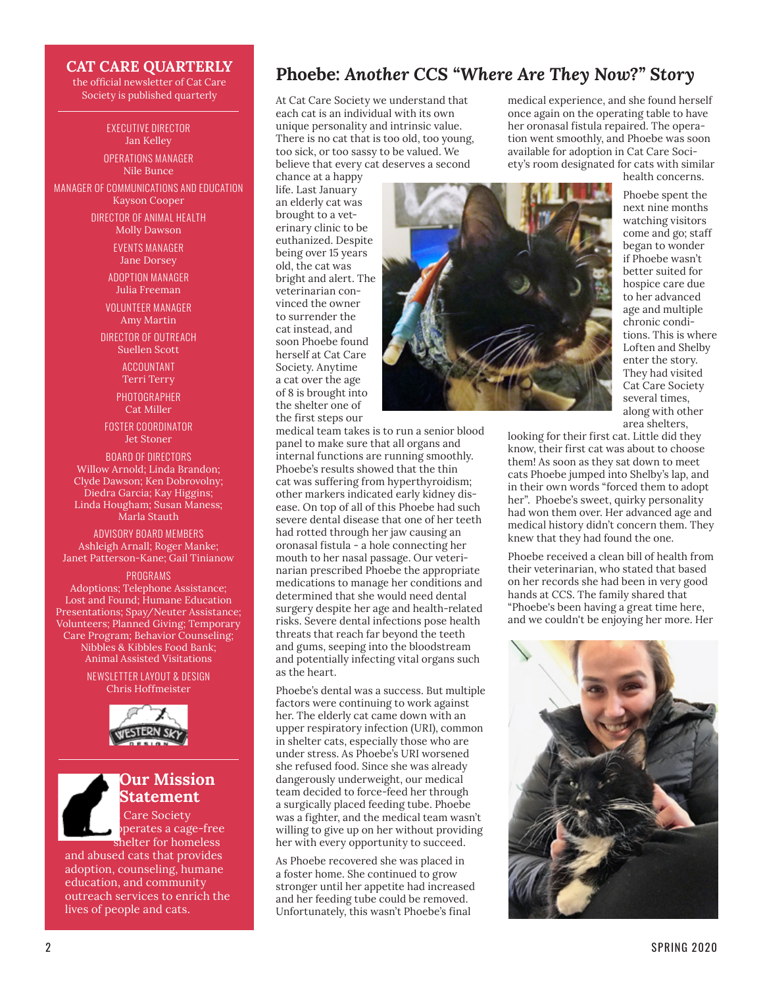#### **CAT CARE QUARTERLY**

the official newsletter of Cat Care Society is published quarterly

> EXECUTIVE DIRECTOR Jan Kelley OPERATIONS MANAGER Nile Bunce

MANAGER OF COMMUNICATIONS AND EDUCATION Kayson Cooper

> DIRECTOR OF ANIMAL HEALTH Molly Dawson

EVENTS MANAGER Jane Dorsey

ADOPTION MANAGER Julia Freeman

VOLUNTEER MANAGER Amy Martin

DIRECTOR OF OUTREACH Suellen Scott

> ACCOUNTANT Terri Terry

PHOTOGRAPHER Cat Miller

FOSTER COORDINATOR Jet Stoner

BOARD OF DIRECTORS Willow Arnold; Linda Brandon; Clyde Dawson; Ken Dobrovolny; Diedra Garcia; Kay Higgins; Linda Hougham; Susan Maness; Marla Stauth

ADVISORY BOARD MEMBERS Ashleigh Arnall; Roger Manke; Janet Patterson-Kane; Gail Tinianow

#### PROGRAMS

Adoptions; Telephone Assistance; Lost and Found; Humane Education Presentations; Spay/Neuter Assistance; Volunteers; Planned Giving; Temporary Care Program; Behavior Counseling; Nibbles & Kibbles Food Bank; Animal Assisted Visitations

NEWSLETTER LAYOUT & DESIGN Chris Hoffmeister





perates a cage-free helter for homeless

and abused cats that provides adoption, counseling, humane education, and community outreach services to enrich the lives of people and cats.

#### **Phoebe:** *Another CCS "Where Are They Now?" Story*

At Cat Care Society we understand that each cat is an individual with its own unique personality and intrinsic value. There is no cat that is too old, too young, too sick, or too sassy to be valued. We believe that every cat deserves a second

chance at a happy life. Last January an elderly cat was brought to a veterinary clinic to be euthanized. Despite being over 15 years old, the cat was bright and alert. The veterinarian convinced the owner to surrender the cat instead, and soon Phoebe found herself at Cat Care Society. Anytime a cat over the age of 8 is brought into the shelter one of the first steps our



medical team takes is to run a senior blood panel to make sure that all organs and internal functions are running smoothly. Phoebe's results showed that the thin cat was suffering from hyperthyroidism; other markers indicated early kidney disease. On top of all of this Phoebe had such severe dental disease that one of her teeth had rotted through her jaw causing an oronasal fistula - a hole connecting her mouth to her nasal passage. Our veterinarian prescribed Phoebe the appropriate medications to manage her conditions and determined that she would need dental surgery despite her age and health-related risks. Severe dental infections pose health threats that reach far beyond the teeth and gums, seeping into the bloodstream and potentially infecting vital organs such as the heart.

Phoebe's dental was a success. But multiple factors were continuing to work against her. The elderly cat came down with an upper respiratory infection (URI), common in shelter cats, especially those who are under stress. As Phoebe's URI worsened she refused food. Since she was already dangerously underweight, our medical team decided to force-feed her through a surgically placed feeding tube. Phoebe was a fighter, and the medical team wasn't willing to give up on her without providing her with every opportunity to succeed.

As Phoebe recovered she was placed in a foster home. She continued to grow stronger until her appetite had increased and her feeding tube could be removed. Unfortunately, this wasn't Phoebe's final

medical experience, and she found herself once again on the operating table to have her oronasal fistula repaired. The operation went smoothly, and Phoebe was soon available for adoption in Cat Care Society's room designated for cats with similar

health concerns.

Phoebe spent the next nine months watching visitors come and go; staff began to wonder if Phoebe wasn't better suited for hospice care due to her advanced age and multiple chronic conditions. This is where Loften and Shelby enter the story. They had visited Cat Care Society several times, along with other area shelters,

looking for their first cat. Little did they know, their first cat was about to choose them! As soon as they sat down to meet cats Phoebe jumped into Shelby's lap, and in their own words "forced them to adopt her". Phoebe's sweet, quirky personality had won them over. Her advanced age and medical history didn't concern them. They knew that they had found the one.

Phoebe received a clean bill of health from their veterinarian, who stated that based on her records she had been in very good hands at CCS. The family shared that "Phoebe's been having a great time here, and we couldn't be enjoying her more. Her

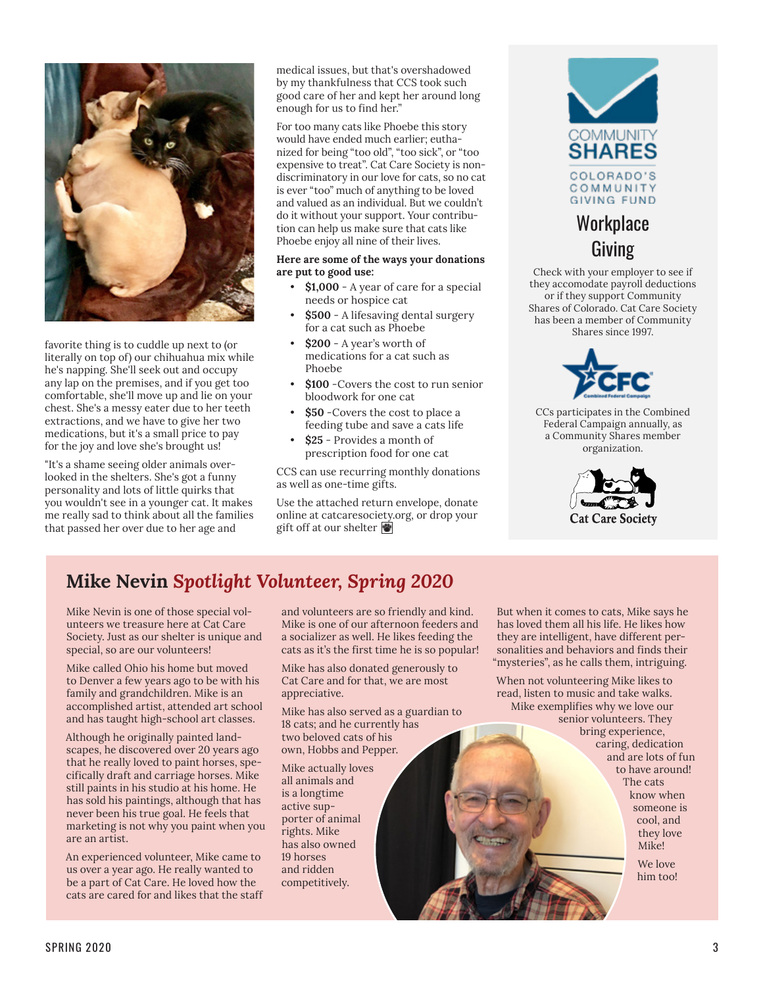

favorite thing is to cuddle up next to (or literally on top of) our chihuahua mix while he's napping. She'll seek out and occupy any lap on the premises, and if you get too comfortable, she'll move up and lie on your chest. She's a messy eater due to her teeth extractions, and we have to give her two medications, but it's a small price to pay for the joy and love she's brought us!

"It's a shame seeing older animals overlooked in the shelters. She's got a funny personality and lots of little quirks that you wouldn't see in a younger cat. It makes me really sad to think about all the families that passed her over due to her age and

medical issues, but that's overshadowed by my thankfulness that CCS took such good care of her and kept her around long enough for us to find her."

For too many cats like Phoebe this story would have ended much earlier; euthanized for being "too old", "too sick", or "too expensive to treat". Cat Care Society is nondiscriminatory in our love for cats, so no cat is ever "too" much of anything to be loved and valued as an individual. But we couldn't do it without your support. Your contribution can help us make sure that cats like Phoebe enjoy all nine of their lives.

#### **Here are some of the ways your donations are put to good use:**

- **\$1,000** A year of care for a special needs or hospice cat
- **\$500** A lifesaving dental surgery for a cat such as Phoebe
- **\$200** A year's worth of medications for a cat such as Phoebe
- **\$100** -Covers the cost to run senior bloodwork for one cat
- **\$50** -Covers the cost to place a feeding tube and save a cats life
- **\$25** Provides a month of prescription food for one cat

CCS can use recurring monthly donations as well as one-time gifts.

Use the attached return envelope, donate online at catcaresociety.org, or drop your gift off at our shelter  $\blacksquare$ 



#### Workplace Giving employer to see it they are the see diviligence in the UI

Check with your employer to see if employer to see if<br>they accomodate payroll deductions or if they support Community Shares of Colorado. Cat Care Society has been a member of Community Shares since 1997.



CCS participates in the CCs participates in the Combined cs participates in the combine<br>Federal Campaign annually, as  $C_1$ an Campaign annually Community Shares a Community Shares member organization.



### **Mike Nevin** *Spotlight Volunteer, Spring 2020*

Mike Nevin is one of those special volunteers we treasure here at Cat Care Society. Just as our shelter is unique and special, so are our volunteers!

Mike called Ohio his home but moved to Denver a few years ago to be with his family and grandchildren. Mike is an accomplished artist, attended art school and has taught high-school art classes.

Although he originally painted landscapes, he discovered over 20 years ago that he really loved to paint horses, specifically draft and carriage horses. Mike still paints in his studio at his home. He has sold his paintings, although that has never been his true goal. He feels that marketing is not why you paint when you are an artist.

An experienced volunteer, Mike came to us over a year ago. He really wanted to be a part of Cat Care. He loved how the cats are cared for and likes that the staff

and volunteers are so friendly and kind. Mike is one of our afternoon feeders and a socializer as well. He likes feeding the cats as it's the first time he is so popular!

Mike has also donated generously to Cat Care and for that, we are most appreciative.

Mike has also served as a guardian to 18 cats; and he currently has two beloved cats of his own, Hobbs and Pepper.

Mike actually loves all animals and is a longtime active supporter of animal rights. Mike has also owned 19 horses and ridden competitively.

But when it comes to cats, Mike says he has loved them all his life. He likes how they are intelligent, have different personalities and behaviors and finds their "mysteries", as he calls them, intriguing.

When not volunteering Mike likes to read, listen to music and take walks. Mike exemplifies why we love our senior volunteers. They

> bring experience, caring, dedication and are lots of fun to have around! The cats know when someone is cool, and they love Mike!

We love him too!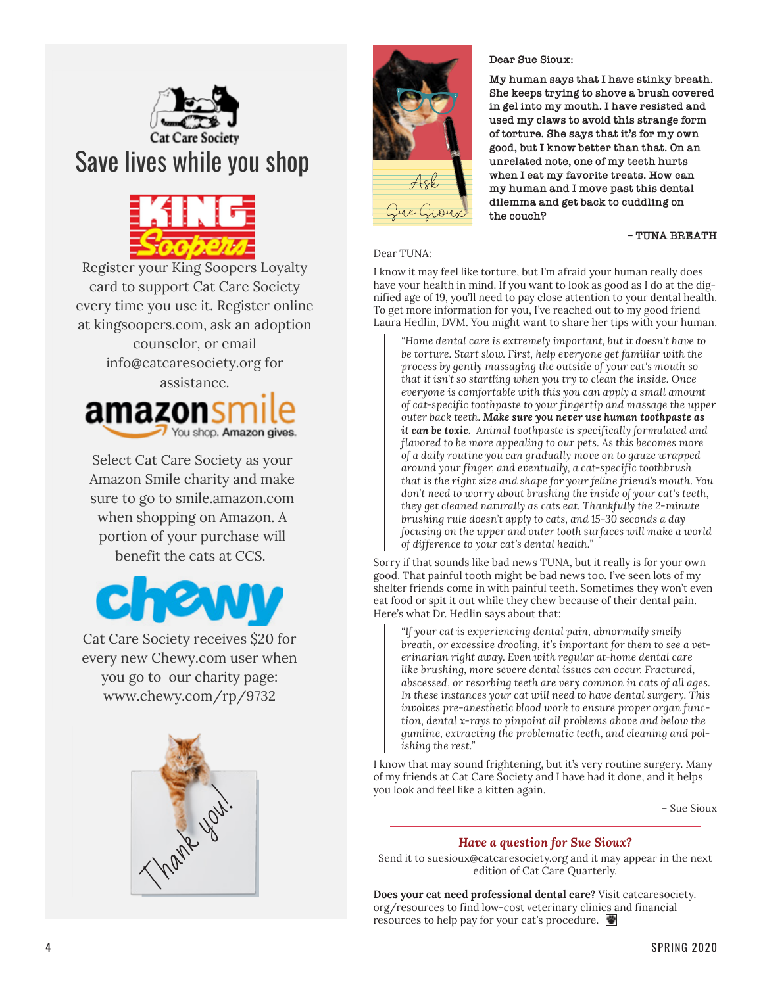

## Save lives while you shop



counselor, or email<br>info@catcaresociety.org for counselor, or email Register your King Soopers Loyalty card to support Cat Care Society every time you use it. Register online at kingsoopers.com, ask an adoption assistance.



 $\Lambda$  as  $\Lambda = \frac{1}{2}$  and  $\Lambda = \frac{1}{2}$  and  $\Lambda = \frac{1}{2}$ Amazon Smile charity and make sure to go to smile amazon com sure to go to smile.amazon.com Select Cat Care Society as your when shopping on Amazon. A portion of your purchase will benefit the cats at CCS.



www.chewy.com/rp/9732 Cat Care Society receives \$20 for every new Chewy.com user when you go to our charity page:





#### **Dear Sue Sioux:**

**My human says that I have stinky breath. She keeps trying to shove a brush covered in gel into my mouth. I have resisted and used my claws to avoid this strange form of torture. She says that it's for my own good, but I know better than that. On an unrelated note, one of my teeth hurts when I eat my favorite treats. How can my human and I move past this dental dilemma and get back to cuddling on the couch?**

#### **– TUNA BREATH**

#### Dear TUNA:

I know it may feel like torture, but I'm afraid your human really does have your health in mind. If you want to look as good as I do at the dig nified age of 19, you'll need to pay close attention to your dental health. To get more information for you, I've reached out to my good friend Laura Hedlin, DVM. You might want to share her tips with your human.

*"Home dental care is extremely important, but it doesn't have to be torture. Start slow. First, help everyone get familiar with the process by gently massaging the outside of your cat's mouth so that it isn't so startling when you try to clean the inside. Once everyone is comfortable with this you can apply a small amount of cat-specific toothpaste to your fingertip and massage the upper outer back teeth. Make sure you never use human toothpaste as it can be toxic. Animal toothpaste is specifically formulated and flavored to be more appealing to our pets. As this becomes more of a daily routine you can gradually move on to gauze wrapped around your finger, and eventually, a cat-specific toothbrush that is the right size and shape for your feline friend's mouth. You don't need to worry about brushing the inside of your cat's teeth, they get cleaned naturally as cats eat. Thankfully the 2-minute brushing rule doesn't apply to cats, and 15-30 seconds a day focusing on the upper and outer tooth surfaces will make a world of difference to your cat's dental health."* For the model of the sake my favorite to help pay from the sake of the sources to for the sources to the sources to the source of the sources of the couch?<br>
Dear TUNA: I know it may feel like torture, but I'm afraid you w

Sorry if that sounds like bad news TUNA, but it really is for your own good. That painful tooth might be bad news too. I've seen lots of my shelter friends come in with painful teeth. Sometimes they won't even eat food or spit it out while they chew because of their dental pain. Here's what Dr. Hedlin says about that:

*"If your cat is experiencing dental pain, abnormally smelly breath, or excessive drooling, it's important for them to see a vet erinarian right away. Even with regular at-home dental care like brushing, more severe dental issues can occur. Fractured, abscessed, or resorbing teeth are very common in cats of all ages. In these instances your cat will need to have dental surgery. This involves pre-anesthetic blood work to ensure proper organ func tion, dental x-rays to pinpoint all problems above and below the gumline, extracting the problematic teeth, and cleaning and pol ishing the rest."*

I know that may sound frightening, but it's very routine surgery. Many of my friends at Cat Care Society and I have had it done, and it helps you look and feel like a kitten again.

– Sue Sioux

#### *Have a question for Sue Sioux?*

Send it to [suesioux@catcaresociety.org](mailto:suesioux@catcaresociety.org) and it may appear in the next edition of Cat Care Quarterly.

**Does your cat need professional dental care?** Visit [catcaresociety.](http://catcaresociety.org/resources) [org/resources](http://catcaresociety.org/resources) to find low-cost veterinary clinics and financial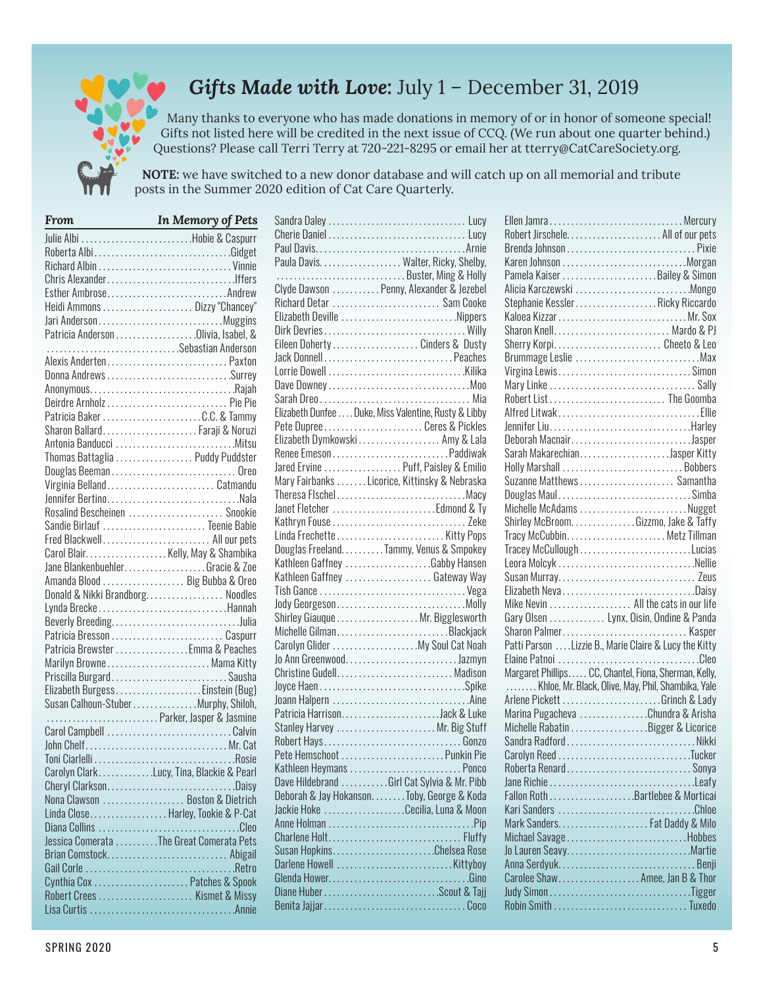

## Gifts Made with Love: July 1 - December 31, 2019

Many thanks to everyone who has made donations in memory of or in honor of someone special! Gifts not listed here will be credited in the next issue of CCQ. (We run about one quarter behind.) Questions? Please call Terri Terry at 720-221-8295 or email her at [tterry@CatCareSociety.org](mailto:tterry@CatCareSociety.org).

**NOTE:** we have switched to a new donor database and will catch up on all memorial and tribute posts in the Summer 2020 edition of Cat Care Quarterly.

| From | <b>Example 12 In Memory of Pets</b>      |
|------|------------------------------------------|
|      |                                          |
|      |                                          |
|      |                                          |
|      |                                          |
|      | Esther AmbroseAndrew                     |
|      | Heidi Ammons  Dizzy "Chancey"            |
|      |                                          |
|      | Patricia Anderson Olivia, Isabel, &      |
|      | Sebastian Anderson                       |
|      |                                          |
|      |                                          |
|      |                                          |
|      |                                          |
|      | Patricia Baker C.C. & Tammy              |
|      | Sharon Ballard Faraji & Noruzi           |
|      |                                          |
|      | Thomas Battaglia Puddy Puddster          |
|      |                                          |
|      | Virginia BellandCatmandu                 |
|      |                                          |
|      | Rosalind Bescheinen  Snookie             |
|      | Sandie Birlauf  Teenie Babie             |
|      | Fred Blackwell All our pets              |
|      |                                          |
|      | Jane BlankenbuehlerGracie & Zoe          |
|      | Amanda Blood  Big Bubba & Oreo           |
|      | Donald & Nikki Brandborg Noodles         |
|      |                                          |
|      | Beverly BreedingJulia                    |
|      |                                          |
|      | Patricia Brewster Emma & Peaches         |
|      | Marilyn Browne Mama Kitty                |
|      | Priscilla BurgardSausha                  |
|      |                                          |
|      | Susan Calhoun-Stuber Murphy, Shiloh,     |
|      | Parker, Jasper & Jasmine                 |
|      | Carol Campbell Calvin                    |
|      |                                          |
|      |                                          |
|      | Carolyn ClarkLucy, Tina, Blackie & Pearl |
|      |                                          |
|      | Nona Clawson  Boston & Dietrich          |
|      | Linda CloseHarley, Tookie & P-Cat        |
|      |                                          |
|      |                                          |
|      |                                          |
|      |                                          |
|      | Cynthia Cox  Patches & Spook             |
|      | Robert Crees  Kismet & Missy             |
|      |                                          |

| Paula Davis. Walter, Ricky, Shelby,                  |  |
|------------------------------------------------------|--|
| Buster, Ming & Holly                                 |  |
| Clyde Dawson  Penny, Alexander & Jezebel             |  |
| Richard Detar  Sam Cooke                             |  |
|                                                      |  |
|                                                      |  |
| Eileen Doherty Cinders & Dusty                       |  |
| Jack Donnell Peaches                                 |  |
|                                                      |  |
|                                                      |  |
|                                                      |  |
| Elizabeth Dunfee Duke, Miss Valentine, Rusty & Libby |  |
|                                                      |  |
| Elizabeth Dymkowski  Amy & Lala                      |  |
|                                                      |  |
| Jared Ervine Puff, Paisley & Emilio                  |  |
| Mary Fairbanks Licorice, Kittinsky & Nebraska        |  |
|                                                      |  |
| Janet Fletcher  Edmond & Ty                          |  |
|                                                      |  |
|                                                      |  |
| Douglas Freeland. Tammy, Venus & Smpokey             |  |
| Kathleen Gaffney Gabby Hansen                        |  |
| Kathleen Gaffney  Gateway Way                        |  |
|                                                      |  |
|                                                      |  |
| Shirley Giauque Mr. Bigglesworth                     |  |
| Michelle GilmanBlackjack                             |  |
| Carolyn Glider  My Soul Cat Noah                     |  |
| Jo Ann GreenwoodJazmyn                               |  |
|                                                      |  |
|                                                      |  |
|                                                      |  |
|                                                      |  |
|                                                      |  |
| Stanley Harvey  Mr. Big Stuff                        |  |
| Pete Hemschoot Punkin Pie                            |  |
|                                                      |  |
| Kathleen Heymans  Ponco                              |  |
| Dave Hildebrand Girl Cat Sylvia & Mr. Pibb           |  |
| Deborah & Jay Hokanson. Toby, George & Koda          |  |
| Jackie Hoke Cecilia, Luna & Moon                     |  |
|                                                      |  |
|                                                      |  |
| Susan HopkinsChelsea Rose                            |  |
| Darlene Howell Kittyboy                              |  |
|                                                      |  |
|                                                      |  |
|                                                      |  |

| Ellen JamraMercury                                    |  |
|-------------------------------------------------------|--|
|                                                       |  |
|                                                       |  |
|                                                       |  |
| Pamela Kaiser Bailey & Simon                          |  |
|                                                       |  |
| Stephanie Kessler Ricky Riccardo                      |  |
|                                                       |  |
|                                                       |  |
| Sherry Korpi Cheeto & Leo                             |  |
|                                                       |  |
| Virgina LewisSimon                                    |  |
|                                                       |  |
|                                                       |  |
|                                                       |  |
|                                                       |  |
| Deborah MacnairJasper                                 |  |
| Sarah MakarechianJasper Kitty                         |  |
| Holly Marshall  Bobbers                               |  |
|                                                       |  |
| Douglas MaulSimba                                     |  |
|                                                       |  |
| Shirley McBroom. Gizzmo, Jake & Taffy                 |  |
| Tracy McCubbinMetz Tillman                            |  |
| Tracey McCulloughLucias                               |  |
|                                                       |  |
|                                                       |  |
|                                                       |  |
| Mike Nevin All the cats in our life                   |  |
| Gary Olsen Lynx, Oisin, Ondine & Panda                |  |
| Sharon Palmer Kasper                                  |  |
| Patti Parson Lizzie B., Marie Claire & Lucy the Kitty |  |
| Elaine Patnoi Cleo                                    |  |
| Margaret Phillips CC, Chantel, Fiona, Sherman, Kelly, |  |
| Khloe, Mr. Black, Olive, May, Phil, Shambika, Yale    |  |
| Arlene Pickett Grinch & Lady                          |  |
| Marina Pugacheva Chundra & Arisha                     |  |
| Michelle Rabatin Bigger & Licorice                    |  |
|                                                       |  |
|                                                       |  |
| Roberta Renard Sonya                                  |  |
|                                                       |  |
|                                                       |  |
| Kari Sanders Chloe                                    |  |
|                                                       |  |
|                                                       |  |
|                                                       |  |
|                                                       |  |
| Carolee Shaw Amee, Jan B & Thor                       |  |
|                                                       |  |
|                                                       |  |
|                                                       |  |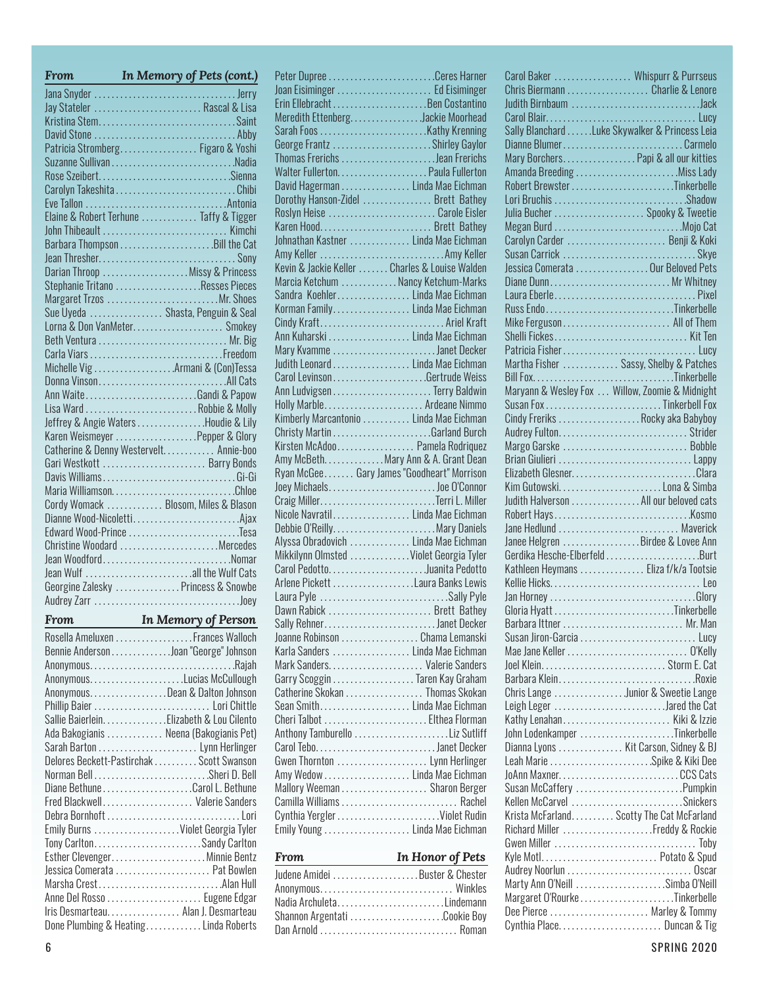| From | <b>Example 12 In Memory of Pets (cont.)</b>                                |
|------|----------------------------------------------------------------------------|
|      |                                                                            |
|      | Jay Stateler  Rascal & Lisa                                                |
|      |                                                                            |
|      |                                                                            |
|      | Patricia Stromberg Figaro & Yoshi                                          |
|      |                                                                            |
|      |                                                                            |
|      |                                                                            |
|      |                                                                            |
|      | Elaine & Robert Terhune  Taffy & Tigger                                    |
|      |                                                                            |
|      |                                                                            |
|      |                                                                            |
|      | Darian Throop  Missy & Princess                                            |
|      | Stephanie Tritano Resses Pieces                                            |
|      | Margaret Trzos Mr. Shoes                                                   |
|      | Sue Uyeda  Shasta, Penguin & Seal<br>Lorna & Don VanMeter Smokey           |
|      |                                                                            |
|      |                                                                            |
|      | Michelle Vig Armani & (Con)Tessa                                           |
|      |                                                                            |
|      | Ann WaiteGandi & Papow                                                     |
|      | Lisa Ward Robbie & Molly                                                   |
|      | Jeffrey & Angie Waters Houdie & Lily                                       |
|      | Karen Weismeyer Pepper & Glory                                             |
|      | Catherine & Denny Westervelt Annie-boo                                     |
|      | Gari Westkott  Barry Bonds                                                 |
|      | Davis WilliamsGi-Gi                                                        |
|      |                                                                            |
|      | Cordy Womack  Blosom, Miles & Blason                                       |
|      | Dianne Wood-NicolettiAjax                                                  |
|      | Edward Wood-Prince Tesa                                                    |
|      | Christine Woodard Mercedes                                                 |
|      | Jean WoodfordNomar                                                         |
|      | Jean Wulf all the Wulf Cats                                                |
|      | Georgine Zalesky  Princess & Snowbe                                        |
|      |                                                                            |
| From | <b>In Memory of Person</b>                                                 |
|      | Rosella Ameluxen Frances Walloch                                           |
|      | Bennie Anderson Joan "George" Johnson                                      |
|      |                                                                            |
|      |                                                                            |
|      | Anonymous. Dean & Dalton Johnson                                           |
|      |                                                                            |
|      | Sallie Baierlein. Elizabeth & Lou Cilento                                  |
|      | Ada Bakogianis  Neena (Bakogianis Pet)                                     |
|      |                                                                            |
|      | Delores Beckett-Pastirchak Scott Swanson                                   |
|      |                                                                            |
|      |                                                                            |
|      | Fred Blackwell Valerie Sanders                                             |
|      |                                                                            |
|      | Emily Burns Violet Georgia Tyler                                           |
|      |                                                                            |
|      |                                                                            |
|      | Jessica Comerata  Pat Bowlen                                               |
|      | Marsha CrestAlan Hull                                                      |
|      |                                                                            |
|      | Iris Desmarteau Alan J. Desmarteau<br>Done Plumbing & HeatingLinda Roberts |
|      |                                                                            |

| Meredith Ettenberg. Jackie Moorhead            |                                            |
|------------------------------------------------|--------------------------------------------|
|                                                |                                            |
| George Frantz Shirley Gaylor                   |                                            |
| Thomas Frerichs Jean Frerichs                  |                                            |
|                                                |                                            |
|                                                |                                            |
| David Hagerman Linda Mae Eichman               |                                            |
| Dorothy Hanson-Zidel  Brett Bathey             |                                            |
| Roslyn Heise Carole Eisler                     |                                            |
|                                                |                                            |
| Johnathan Kastner  Linda Mae Eichman           |                                            |
| Amy Keller  Amy Keller                         |                                            |
| Kevin & Jackie Keller  Charles & Louise Walden |                                            |
| Marcia Ketchum Nancy Ketchum-Marks             |                                            |
| Sandra Koehler Linda Mae Eichman               |                                            |
|                                                |                                            |
| Korman Family Linda Mae Eichman                |                                            |
|                                                |                                            |
| Ann Kuharski Linda Mae Eichman                 |                                            |
|                                                |                                            |
| Judith Leonard Linda Mae Eichman               |                                            |
| Carol LevinsonGertrude Weiss                   |                                            |
|                                                |                                            |
| Holly Marble Ardeane Nimmo                     |                                            |
| Kimberly Marcantonio  Linda Mae Eichman        |                                            |
|                                                |                                            |
| Kirsten McAdoo Pamela Rodriquez                |                                            |
|                                                |                                            |
| Amy McBeth. Mary Ann & A. Grant Dean           |                                            |
|                                                |                                            |
|                                                | Ryan McGee Gary James "Goodheart" Morrison |
| Joey MichaelsJoe O'Connor                      |                                            |
|                                                |                                            |
| Nicole Navratil Linda Mae Eichman              |                                            |
|                                                |                                            |
| Debbie O'Reilly Mary Daniels                   |                                            |
| Alyssa Obradovich  Linda Mae Eichman           |                                            |
| Mikkilynn Olmsted  Violet Georgia Tyler        |                                            |
|                                                |                                            |
| Arlene Pickett Laura Banks Lewis               |                                            |
| Laura Pyle Sally Pyle                          |                                            |
| Dawn Rabick  Brett Bathey                      |                                            |
|                                                | Sally RehnerJanet Decker                   |
| Joanne Robinson Chama Lemanski                 |                                            |
| Karla Sanders  Linda Mae Eichman               |                                            |
|                                                |                                            |
|                                                |                                            |
| Garry Scoggin Taren Kay Graham                 |                                            |
| Catherine Skokan Thomas Skokan                 |                                            |
| Sean Smith Linda Mae Eichman                   |                                            |
| Cheri Talbot  Elthea Florman                   |                                            |
| Anthony Tamburello Liz Sutliff                 |                                            |
|                                                |                                            |
|                                                |                                            |
|                                                |                                            |
| Mallory Weeman Sharon Berger                   |                                            |
|                                                |                                            |
|                                                |                                            |
|                                                | Emily Young  Linda Mae Eichman             |

| From                                                                        | In Honor of Pets |
|-----------------------------------------------------------------------------|------------------|
| Judene Amidei Buster & Chester                                              |                  |
|                                                                             |                  |
| Nadia ArchuletaLindemann                                                    |                  |
| Shannon Argentati Cookie Boy                                                |                  |
| Dan Arnold $\ldots, \ldots, \ldots, \ldots, \ldots, \ldots, \ldots$ . Roman |                  |

| Carol Baker  Whispurr & Purrseus                         |
|----------------------------------------------------------|
| Chris Biermann Charlie & Lenore                          |
|                                                          |
|                                                          |
|                                                          |
| Sally Blanchard Luke Skywalker & Princess Leia           |
| Dianne BlumerCarmelo                                     |
| Mary Borchers Papi & all our kitties                     |
|                                                          |
| Amanda Breeding Miss Lady                                |
|                                                          |
|                                                          |
| Lori Bruchis Shadow                                      |
|                                                          |
|                                                          |
|                                                          |
| Carolyn Carder  Benji & Koki                             |
|                                                          |
| Jessica Comerata Our Beloved Pets                        |
|                                                          |
| Diane Dunn Mr Whitney                                    |
|                                                          |
|                                                          |
|                                                          |
|                                                          |
|                                                          |
|                                                          |
| Martha Fisher  Sassy, Shelby & Patches                   |
|                                                          |
|                                                          |
| Maryann & Wesley Fox  Willow, Zoomie & Midnight          |
|                                                          |
|                                                          |
| Cindy Freriks Rocky aka Babyboy                          |
|                                                          |
|                                                          |
|                                                          |
|                                                          |
|                                                          |
| Kim GutowskiLona & Simba                                 |
| Judith Halverson All our beloved cats                    |
|                                                          |
| Robert HaysKosmo                                         |
|                                                          |
|                                                          |
| Jane Hedlund  Maverick                                   |
| Janee Helgren Birdee & Lovee Ann                         |
| Gerdika Hesche-Elberfeld Burt                            |
|                                                          |
| Kathleen Heymans  Eliza f/k/a Tootsie                    |
|                                                          |
| Jan Horney Glory                                         |
|                                                          |
|                                                          |
|                                                          |
|                                                          |
|                                                          |
|                                                          |
|                                                          |
| Barbara KleinRoxie                                       |
| Chris Lange Junior & Sweetie Lange                       |
| Leigh Leger Jared the Cat                                |
|                                                          |
|                                                          |
| John Lodenkamper Tinkerbelle                             |
| Dianna Lyons  Kit Carson, Sidney & BJ                    |
|                                                          |
| Leah Marie Spike & Kiki Dee                              |
|                                                          |
| Susan McCaffery Pumpkin                                  |
|                                                          |
| Kellen McCarvel Snickers                                 |
| Krista McFarland Scotty The Cat McFarland                |
| Richard Miller Freddy & Rockie                           |
|                                                          |
|                                                          |
|                                                          |
|                                                          |
|                                                          |
| Marty Ann O'Neill Simba O'Neill                          |
| Margaret O'RourkeTinkerbelle                             |
| Dee Pierce  Marley & Tommy<br>Cynthia Place Duncan & Tig |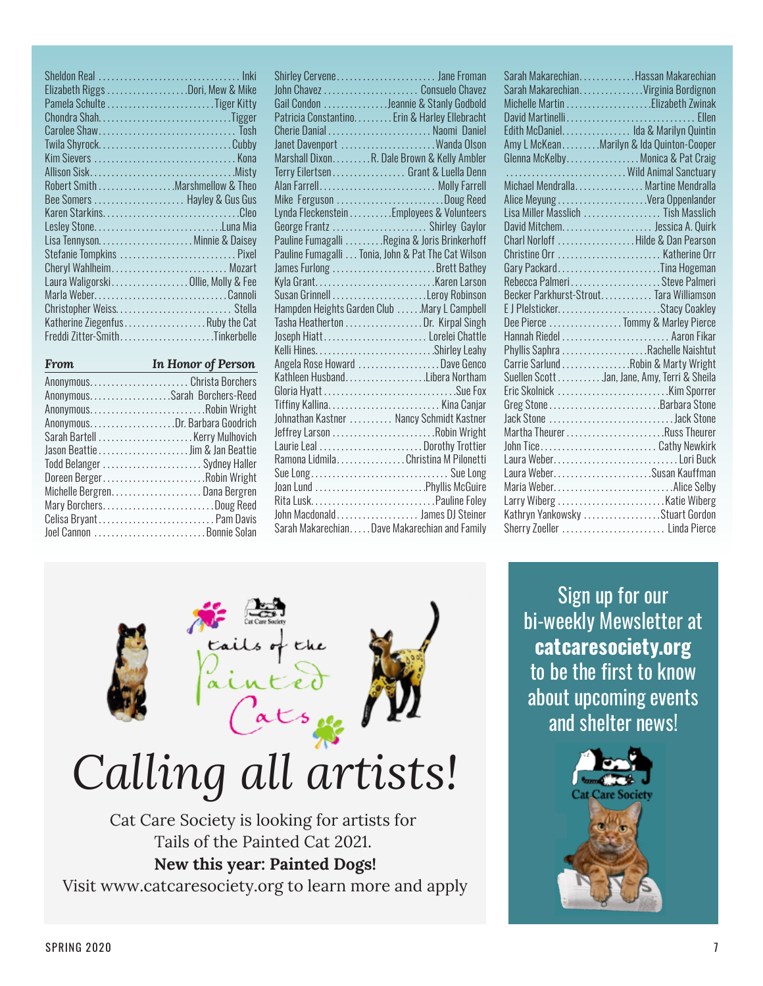| Robert Smith Marshmellow & Theo    |  |
|------------------------------------|--|
|                                    |  |
|                                    |  |
|                                    |  |
|                                    |  |
|                                    |  |
| Cheryl Wahlheim Mozart             |  |
| Laura WaligorskiOllie, Molly & Fee |  |
|                                    |  |
| Christopher Weiss Stella           |  |
| Katherine ZiegenfusRuby the Cat    |  |
| Freddi Zitter-SmithTinkerbelle     |  |
|                                    |  |

| From | In Honor of Person             |
|------|--------------------------------|
|      |                                |
|      | AnonymousSarah Borchers-Reed   |
|      |                                |
|      |                                |
|      | Sarah Bartell  Kerry Mulhovich |
|      |                                |
|      | Todd Belanger  Sydney Haller   |
|      | Doreen BergerRobin Wright      |
|      |                                |
|      | Mary BorchersDoug Reed         |
|      | Celisa Bryant Pam Davis        |
|      | Joel Cannon  Bonnie Solan      |

| Shirley CerveneJane Froman                         |  |
|----------------------------------------------------|--|
| John Chavez  Consuelo Chavez                       |  |
| Gail Condon Jeannie & Stanly Godbold               |  |
| Patricia Constantino. Erin & Harley Ellebracht     |  |
|                                                    |  |
|                                                    |  |
| Marshall Dixon. R. Dale Brown & Kelly Ambler       |  |
| Terry Eilertsen Grant & Luella Denn                |  |
|                                                    |  |
| Mike Ferguson Doug Reed                            |  |
| Lynda Fleckenstein Employees & Volunteers          |  |
|                                                    |  |
| Pauline Fumagalli Regina & Joris Brinkerhoff       |  |
| Pauline Fumagalli Tonia, John & Pat The Cat Wilson |  |
|                                                    |  |
|                                                    |  |
|                                                    |  |
| Hampden Heights Garden Club Mary L Campbell        |  |
| Tasha Heatherton Dr. Kirpal Singh                  |  |
| Joseph Hiatt Lorelei Chattle                       |  |
|                                                    |  |
| Angela Rose Howard Dave Genco                      |  |
|                                                    |  |
|                                                    |  |
|                                                    |  |
| Johnathan Kastner  Nancy Schmidt Kastner           |  |
|                                                    |  |
|                                                    |  |
| Ramona LidmilaChristina M Pilonetti                |  |
|                                                    |  |
|                                                    |  |
|                                                    |  |
| John Macdonald James DJ Steiner                    |  |
| Sarah Makarechian. Dave Makarechian and Family     |  |
|                                                    |  |

| Sarah MakarechianHassan Makarechian          |
|----------------------------------------------|
|                                              |
| Sarah MakarechianVirginia Bordignon          |
|                                              |
|                                              |
| Edith McDaniel. Ida & Marilyn Quintin        |
| Amy L McKeanMarilyn & Ida Quinton-Cooper     |
| Glenna McKelby Monica & Pat Craig            |
| Wild Animal Sanctuary                        |
| Michael Mendralla Martine Mendralla          |
|                                              |
| Lisa Miller Masslich  Tish Masslich          |
|                                              |
| Charl Norloff Hilde & Dan Pearson            |
| Christine Orr  Katherine Orr                 |
|                                              |
| Rebecca PalmeriSteve Palmeri                 |
| Becker Parkhurst-Strout Tara Williamson      |
|                                              |
| Dee Pierce  Tommy & Marley Pierce            |
|                                              |
|                                              |
| Carrie Sarlund Robin & Marty Wright          |
| Suellen Scott Jan, Jane, Amy, Terri & Sheila |
|                                              |
|                                              |
| Jack Stone Jack Stone                        |
|                                              |
| John Tice Cathy Newkirk                      |
|                                              |
|                                              |
|                                              |
|                                              |
| Kathryn Yankowsky Stuart Gordon              |
| Sherry Zoeller  Linda Pierce                 |



# *Calling all artists!*

Cat Care Society is looking for artists for Tails of the Painted Cat 2021. **New this year: Painted Dogs!**

Visit www.catcaresociety.org to learn more and apply

Sign up for our bi-weekly Mewsletter at **[catcaresociety.org](http://catcaresociety.org)** to be the first to know about upcoming events and shelter news!



bi-weekly Mewsletter at

know about